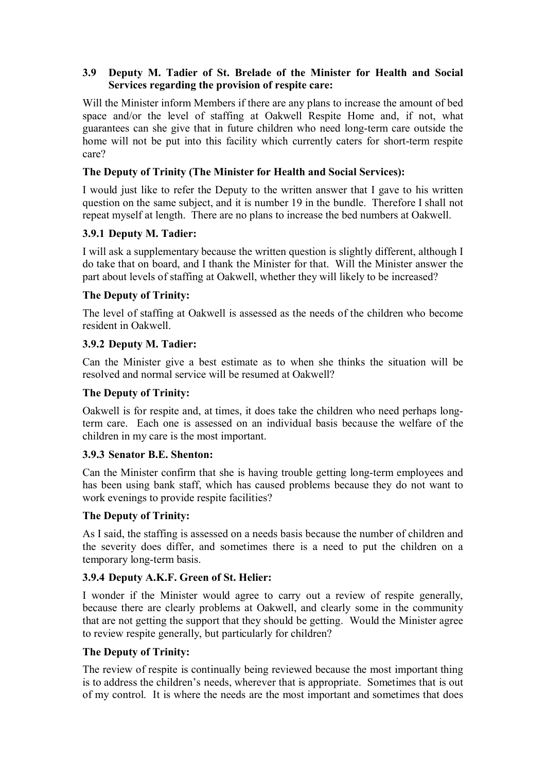### **3.9** � **Deputy M. Tadier of St. Brelade of the Minister for Health and Social Services regarding the provision of respite care:**

Will the Minister inform Members if there are any plans to increase the amount of bed space and/or the level of staffing at Oakwell Respite Home and, if not, what guarantees can she give that in future children who need long-term care outside the home will not be put into this facility which currently caters for short-term respite care?

### **The Deputy of Trinity (The Minister for Health and Social Services):**

I would just like to refer the Deputy to the written answer that I gave to his written question on the same subject, and it is number 19 in the bundle. Therefore I shall not repeat myself at length. There are no plans to increase the bed numbers at Oakwell.

### **3.9.1 Deputy M. Tadier:**

I will ask a supplementary because the written question is slightly different, although I do take that on board, and I thank the Minister for that. Will the Minister answer the part about levels of staffing at Oakwell, whether they will likely to be increased?

### **The Deputy of Trinity:**

The level of staffing at Oakwell is assessed as the needs of the children who become resident in Oakwell.

## **3.9.2 Deputy M. Tadier:**

Can the Minister give a best estimate as to when she thinks the situation will be resolved and normal service will be resumed at Oakwell?

### **The Deputy of Trinity:**

Oakwell is for respite and, at times, it does take the children who need perhaps longterm care. Each one is assessed on an individual basis because the welfare of the children in my care is the most important.

### **3.9.3 Senator B.E. Shenton:**

Can the Minister confirm that she is having trouble getting long-term employees and has been using bank staff, which has caused problems because they do not want to work evenings to provide respite facilities?

### **The Deputy of Trinity:**

As I said, the staffing is assessed on a needs basis because the number of children and the severity does differ, and sometimes there is a need to put the children on a temporary long-term basis.

# **3.9.4 Deputy A.K.F. Green of St. Helier:**

I wonder if the Minister would agree to carry out a review of respite generally, because there are clearly problems at Oakwell, and clearly some in the community that are not getting the support that they should be getting. Would the Minister agree to review respite generally, but particularly for children?

#### **The Deputy of Trinity:**

The review of respite is continually being reviewed because the most important thing is to address the children's needs, wherever that is appropriate. Sometimes that is out of my control. It is where the needs are the most important and sometimes that does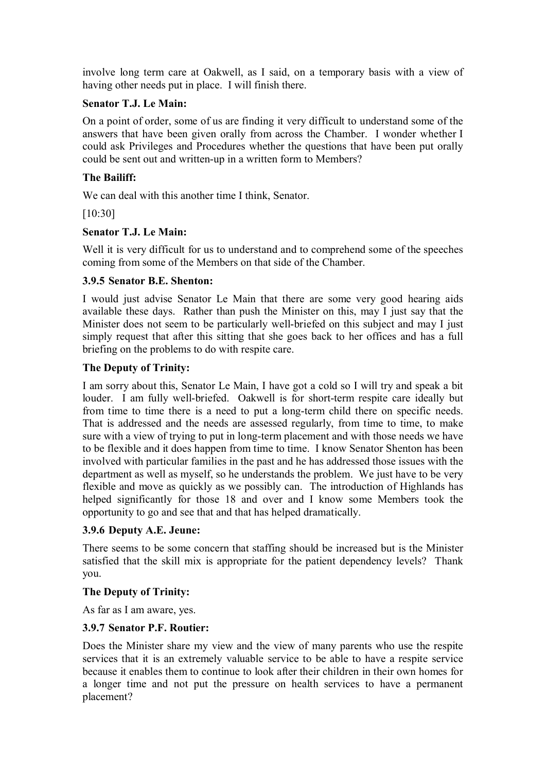involve long term care at Oakwell, as I said, on a temporary basis with a view of having other needs put in place. I will finish there.

### **Senator T.J. Le Main:**

On a point of order, some of us are finding it very difficult to understand some of the answers that have been given orally from across the Chamber. I wonder whether I could ask Privileges and Procedures whether the questions that have been put orally could be sent out and written-up in a written form to Members?

### **The Bailiff:**

We can deal with this another time I think, Senator.

[10:30]

### **Senator T.J. Le Main:**

Well it is very difficult for us to understand and to comprehend some of the speeches coming from some of the Members on that side of the Chamber.

#### **3.9.5 Senator B.E. Shenton:**

I would just advise Senator Le Main that there are some very good hearing aids available these days. Rather than push the Minister on this, may I just say that the Minister does not seem to be particularly well-briefed on this subject and may I just simply request that after this sitting that she goes back to her offices and has a full briefing on the problems to do with respite care.

#### **The Deputy of Trinity:**

I am sorry about this, Senator Le Main, I have got a cold so I will try and speak a bit louder. I am fully well-briefed. Oakwell is for short-term respite care ideally but from time to time there is a need to put a long-term child there on specific needs. That is addressed and the needs are assessed regularly, from time to time, to make sure with a view of trying to put in long-term placement and with those needs we have to be flexible and it does happen from time to time. I know Senator Shenton has been involved with particular families in the past and he has addressed those issues with the department as well as myself, so he understands the problem. We just have to be very flexible and move as quickly as we possibly can. The introduction of Highlands has helped significantly for those 18 and over and I know some Members took the opportunity to go and see that and that has helped dramatically.

### **3.9.6 Deputy A.E. Jeune:**

There seems to be some concern that staffing should be increased but is the Minister satisfied that the skill mix is appropriate for the patient dependency levels? Thank you.

### **The Deputy of Trinity:**

As far as I am aware, yes.

### **3.9.7 Senator P.F. Routier:**

Does the Minister share my view and the view of many parents who use the respite services that it is an extremely valuable service to be able to have a respite service because it enables them to continue to look after their children in their own homes for a longer time and not put the pressure on health services to have a permanent placement?